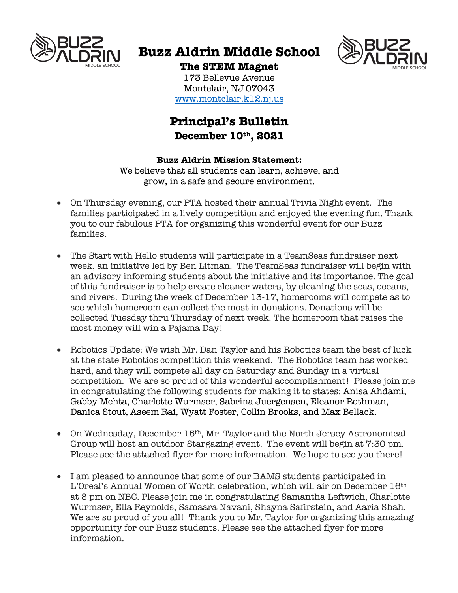

# **Buzz Aldrin Middle School**



**The STEM Magnet** 173 Bellevue Avenue

Montclair, NJ 07043 www.montclair.k12.nj.us

## **Principal's Bulletin December 10th , 2021**

### **Buzz Aldrin Mission Statement:**

We believe that all students can learn, achieve, and grow, in a safe and secure environment.

- On Thursday evening, our PTA hosted their annual Trivia Night event. The families participated in a lively competition and enjoyed the evening fun. Thank you to our fabulous PTA for organizing this wonderful event for our Buzz families.
- The Start with Hello students will participate in a TeamSeas fundraiser next week, an initiative led by Ben Litman. The TeamSeas fundraiser will begin with an advisory informing students about the initiative and its importance. The goal of this fundraiser is to help create cleaner waters, by cleaning the seas, oceans, and rivers. During the week of December 13-17, homerooms will compete as to see which homeroom can collect the most in donations. Donations will be collected Tuesday thru Thursday of next week. The homeroom that raises the most money will win a Pajama Day!
- Robotics Update: We wish Mr. Dan Taylor and his Robotics team the best of luck at the state Robotics competition this weekend. The Robotics team has worked hard, and they will compete all day on Saturday and Sunday in a virtual competition. We are so proud of this wonderful accomplishment! Please join me in congratulating the following students for making it to states: Anisa Ahdami, Gabby Mehta, Charlotte Wurmser, Sabrina Juergensen, Eleanor Rothman, Danica Stout, Aseem Rai, Wyatt Foster, Collin Brooks, and Max Bellack.
- On Wednesday, December 15<sup>th</sup>, Mr. Taylor and the North Jersey Astronomical Group will host an outdoor Stargazing event. The event will begin at 7:30 pm. Please see the attached flyer for more information. We hope to see you there!
- I am pleased to announce that some of our BAMS students participated in L'Oreal's Annual Women of Worth celebration, which will air on December 16th at 8 pm on NBC. Please join me in congratulating Samantha Leftwich, Charlotte Wurmser, Ella Reynolds, Samaara Navani, Shayna Safirstein, and Aaria Shah. We are so proud of you all! Thank you to Mr. Taylor for organizing this amazing opportunity for our Buzz students. Please see the attached flyer for more information.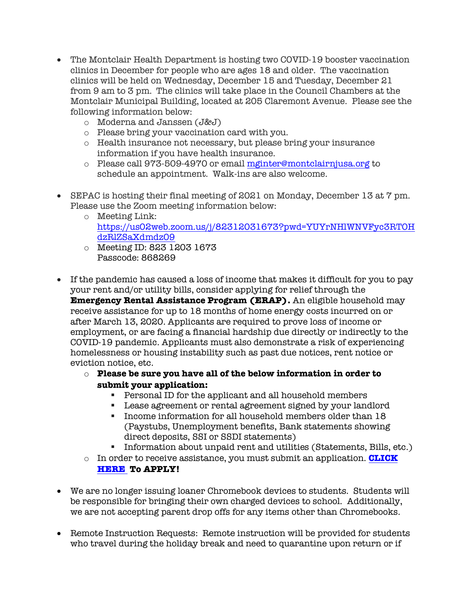- The Montclair Health Department is hosting two COVID-19 booster vaccination clinics in December for people who are ages 18 and older. The vaccination clinics will be held on Wednesday, December 15 and Tuesday, December 21 from 9 am to 3 pm. The clinics will take place in the Council Chambers at the Montclair Municipal Building, located at 205 Claremont Avenue. Please see the following information below:
	- o Moderna and Janssen (J&J)
	- o Please bring your vaccination card with you.
	- o Health insurance not necessary, but please bring your insurance information if you have health insurance.
	- o Please call 973-509-4970 or email mginter@montclairnjusa.org to schedule an appointment. Walk-ins are also welcome.
- SEPAC is hosting their final meeting of 2021 on Monday, December 13 at 7 pm. Please use the Zoom meeting information below:
	- o Meeting Link: https://us02web.zoom.us/j/82312031673?pwd=YUYrNHlWNVFyc3RTOH dzRlZSaXdmdz09
	- o Meeting ID: 823 1203 1673 Passcode: 868269
- If the pandemic has caused a loss of income that makes it difficult for you to pay your rent and/or utility bills, consider applying for relief through the **Emergency Rental Assistance Program (ERAP).** An eligible household may receive assistance for up to 18 months of home energy costs incurred on or after March 13, 2020. Applicants are required to prove loss of income or employment, or are facing a financial hardship due directly or indirectly to the COVID-19 pandemic. Applicants must also demonstrate a risk of experiencing homelessness or housing instability such as past due notices, rent notice or eviction notice, etc.

### o **Please be sure you have all of the below information in order to submit your application:**

- § Personal ID for the applicant and all household members
- Lease agreement or rental agreement signed by your landlord
- § Income information for all household members older than 18 (Paystubs, Unemployment benefits, Bank statements showing direct deposits, SSI or SSDI statements)
- Information about unpaid rent and utilities (Statements, Bills, etc.)
- o In order to receive assistance, you must submit an application. **CLICK**

### **HERE To APPLY!**

- We are no longer issuing loaner Chromebook devices to students. Students will be responsible for bringing their own charged devices to school. Additionally, we are not accepting parent drop offs for any items other than Chromebooks.
- Remote Instruction Requests: Remote instruction will be provided for students who travel during the holiday break and need to quarantine upon return or if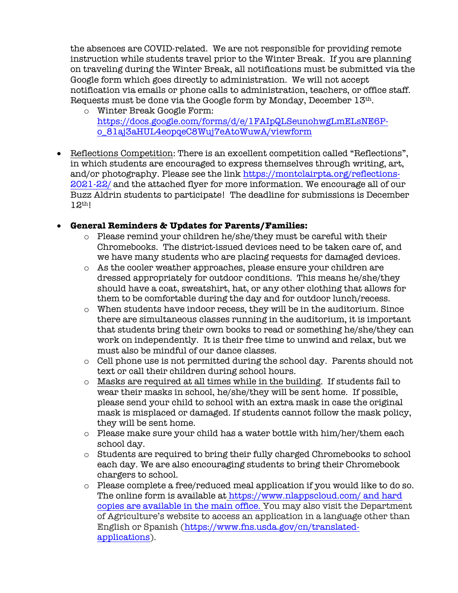the absences are COVID-related. We are not responsible for providing remote instruction while students travel prior to the Winter Break. If you are planning on traveling during the Winter Break, all notifications must be submitted via the Google form which goes directly to administration. We will not accept notification via emails or phone calls to administration, teachers, or office staff. Requests must be done via the Google form by Monday, December  $13<sup>th</sup>$ .

- o Winter Break Google Form: https://docs.google.com/forms/d/e/1FAIpQLSeunohwgLmELsNE6Po\_81aj3aHUL4eopqeC8Wuj7eAtoWuwA/viewform
- Reflections Competition: There is an excellent competition called "Reflections", in which students are encouraged to express themselves through writing, art, and/or photography. Please see the link https://montclairpta.org/reflections-2021-22/ and the attached flyer for more information. We encourage all of our Buzz Aldrin students to participate! The deadline for submissions is December 12th!

### • **General Reminders & Updates for Parents/Families:**

- $\circ$  Please remind your children he/she/they must be careful with their Chromebooks. The district-issued devices need to be taken care of, and we have many students who are placing requests for damaged devices.
- o As the cooler weather approaches, please ensure your children are dressed appropriately for outdoor conditions. This means he/she/they should have a coat, sweatshirt, hat, or any other clothing that allows for them to be comfortable during the day and for outdoor lunch/recess.
- o When students have indoor recess, they will be in the auditorium. Since there are simultaneous classes running in the auditorium, it is important that students bring their own books to read or something he/she/they can work on independently. It is their free time to unwind and relax, but we must also be mindful of our dance classes.
- $\circ$  Cell phone use is not permitted during the school day. Parents should not text or call their children during school hours.
- o Masks are required at all times while in the building. If students fail to wear their masks in school, he/she/they will be sent home. If possible, please send your child to school with an extra mask in case the original mask is misplaced or damaged. If students cannot follow the mask policy, they will be sent home.
- $\circ$  Please make sure your child has a water bottle with him/her/them each school day.
- o Students are required to bring their fully charged Chromebooks to school each day. We are also encouraging students to bring their Chromebook chargers to school.
- $\circ$  Please complete a free/reduced meal application if you would like to do so. The online form is available at https://www.nlappscloud.com/ and hard copies are available in the main office. You may also visit the Department of Agriculture's website to access an application in a language other than English or Spanish (https://www.fns.usda.gov/cn/translatedapplications).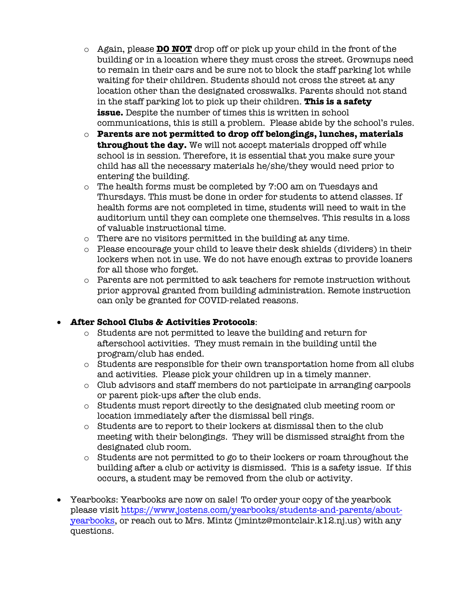- o Again, please **DO NOT** drop off or pick up your child in the front of the building or in a location where they must cross the street. Grownups need to remain in their cars and be sure not to block the staff parking lot while waiting for their children. Students should not cross the street at any location other than the designated crosswalks. Parents should not stand in the staff parking lot to pick up their children. **This is a safety issue.** Despite the number of times this is written in school communications, this is still a problem. Please abide by the school's rules.
- o **Parents are not permitted to drop off belongings, lunches, materials throughout the day.** We will not accept materials dropped off while school is in session. Therefore, it is essential that you make sure your child has all the necessary materials he/she/they would need prior to entering the building.
- o The health forms must be completed by 7:00 am on Tuesdays and Thursdays. This must be done in order for students to attend classes. If health forms are not completed in time, students will need to wait in the auditorium until they can complete one themselves. This results in a loss of valuable instructional time.
- o There are no visitors permitted in the building at any time.
- o Please encourage your child to leave their desk shields (dividers) in their lockers when not in use. We do not have enough extras to provide loaners for all those who forget.
- o Parents are not permitted to ask teachers for remote instruction without prior approval granted from building administration. Remote instruction can only be granted for COVID-related reasons.

### • **After School Clubs & Activities Protocols**:

- o Students are not permitted to leave the building and return for afterschool activities. They must remain in the building until the program/club has ended.
- o Students are responsible for their own transportation home from all clubs and activities. Please pick your children up in a timely manner.
- o Club advisors and staff members do not participate in arranging carpools or parent pick-ups after the club ends.
- o Students must report directly to the designated club meeting room or location immediately after the dismissal bell rings.
- $\circ$  Students are to report to their lockers at dismissal then to the club meeting with their belongings. They will be dismissed straight from the designated club room.
- o Students are not permitted to go to their lockers or roam throughout the building after a club or activity is dismissed. This is a safety issue. If this occurs, a student may be removed from the club or activity.
- Yearbooks: Yearbooks are now on sale! To order your copy of the yearbook please visit https://www.jostens.com/yearbooks/students-and-parents/aboutyearbooks, or reach out to Mrs. Mintz (jmintz@montclair.k12.nj.us) with any questions.